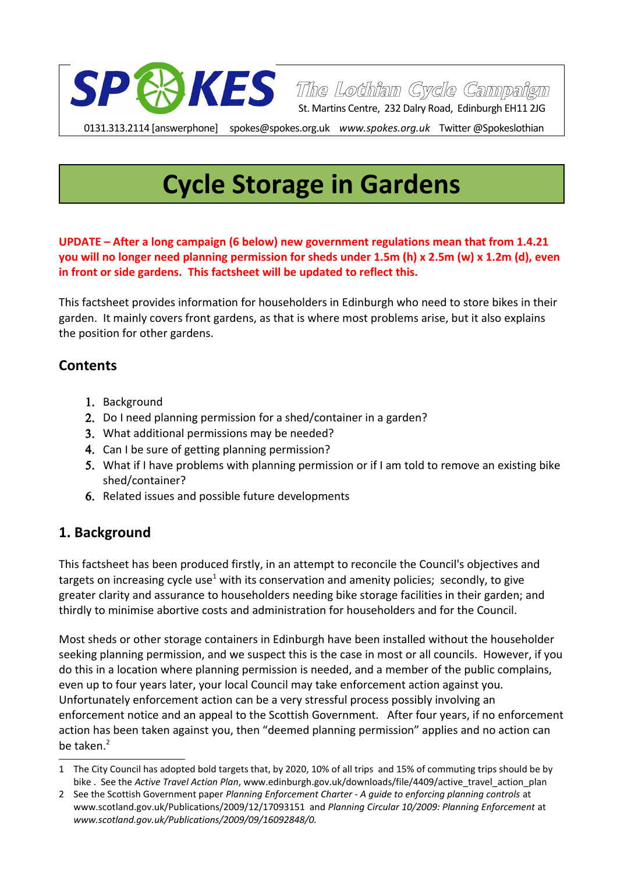

0131.313.2114 [answerphone] spokes@spokes.org.uk *www.spokes.org.uk* Twitter @Spokeslothian

# **Cycle Storage in Gardens**

**UPDATE – After a long campaign (6 below) new government regulations mean that from 1.4.21 you will no longer need planning permission for sheds under 1.5m (h) x 2.5m (w) x 1.2m (d), even in front or side gardens. This factsheet will be updated to reflect this.**

This factsheet provides information for householders in Edinburgh who need to store bikes in their garden. It mainly covers front gardens, as that is where most problems arise, but it also explains the position for other gardens.

#### **Contents**

- 1. Background
- 2. Do I need planning permission for a shed/container in a garden?
- 3. What additional permissions may be needed?
- 4. Can I be sure of getting planning permission?
- 5. What if I have problems with planning permission or if I am told to remove an existing bike shed/container?
- 6. Related issues and possible future developments

### **1. Background**

This factsheet has been produced firstly, in an attempt to reconcile the Council's objectives and targets on increasing cycle use<sup>[1](#page-0-0)</sup> with its conservation and amenity policies; secondly, to give greater clarity and assurance to householders needing bike storage facilities in their garden; and thirdly to minimise abortive costs and administration for householders and for the Council.

Most sheds or other storage containers in Edinburgh have been installed without the householder seeking planning permission, and we suspect this is the case in most or all councils. However, if you do this in a location where planning permission is needed, and a member of the public complains, even up to four years later, your local Council may take enforcement action against you. Unfortunately enforcement action can be a very stressful process possibly involving an enforcement notice and an appeal to the Scottish Government. After four years, if no enforcement action has been taken against you, then "deemed planning permission" applies and no action can be taken $^2$  $^2$ 

<span id="page-0-0"></span><sup>1</sup> The City Council has adopted bold targets that, by 2020, 10% of all trips and 15% of commuting trips should be by bike . See the *Active Travel Action Plan*, www.edinburgh.gov.uk/downloads/file/4409/active\_travel\_action\_plan

<span id="page-0-1"></span><sup>2</sup> See the Scottish Government paper *Planning Enforcement Charter - A guide to enforcing planning controls* at www.scotland.gov.uk/Publications/2009/12/17093151 and *Planning Circular 10/2009: Planning Enforcement* at *www.scotland.gov.uk/Publications/2009/09/16092848/0.*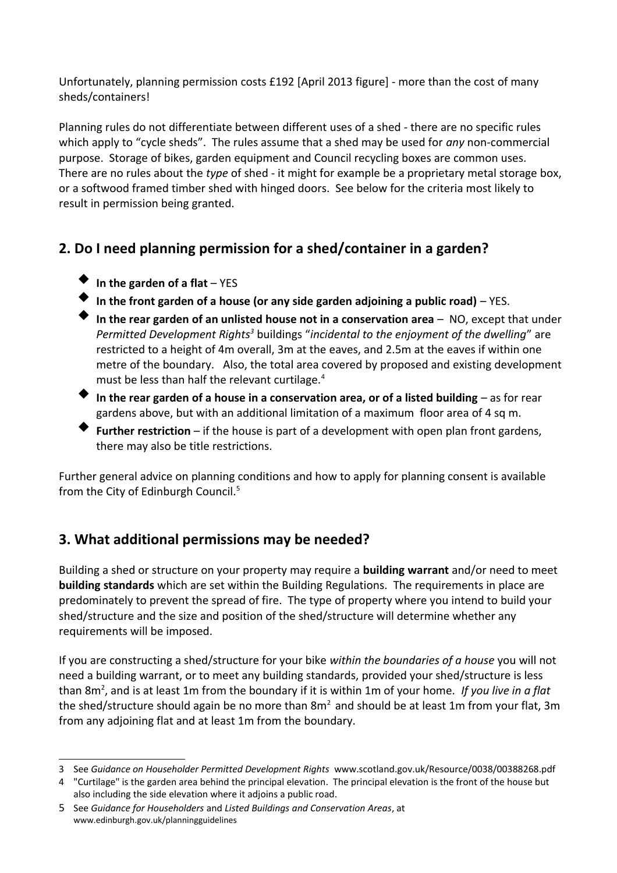Unfortunately, planning permission costs £192 [April 2013 figure] - more than the cost of many sheds/containers!

Planning rules do not differentiate between different uses of a shed - there are no specific rules which apply to "cycle sheds". The rules assume that a shed may be used for *any* non-commercial purpose. Storage of bikes, garden equipment and Council recycling boxes are common uses. There are no rules about the *type* of shed - it might for example be a proprietary metal storage box, or a softwood framed timber shed with hinged doors. See below for the criteria most likely to result in permission being granted.

# **2. Do I need planning permission for a shed/container in a garden?**

- **In the garden of a flat** YES
- **In the front garden of a house (or any side garden adjoining a public road)** YES.
- **In the rear garden of an unlisted house not in a conservation area** NO, except that under Permitted Development Rights<sup>[3](#page-1-0)</sup> buildings "incidental to the enjoyment of the dwelling" are restricted to a height of 4m overall, 3m at the eaves, and 2.5m at the eaves if within one metre of the boundary. Also, the total area covered by proposed and existing development must be less than half the relevant curtilage.<sup>[4](#page-1-1)</sup>
- **In the rear garden of a house in a conservation area, or of a listed building** as for rear gardens above, but with an additional limitation of a maximum floor area of 4 sq m.
- **Further restriction** if the house is part of a development with open plan front gardens, there may also be title restrictions.

Further general advice on planning conditions and how to apply for planning consent is available from the City of Edinburgh Council.<sup>[5](#page-1-2)</sup>

## **3. What additional permissions may be needed?**

Building a shed or structure on your property may require a **building warrant** and/or need to meet **building standards** which are set within the Building Regulations. The requirements in place are predominately to prevent the spread of fire. The type of property where you intend to build your shed/structure and the size and position of the shed/structure will determine whether any requirements will be imposed.

If you are constructing a shed/structure for your bike *within the boundaries of a house* you will not need a building warrant, or to meet any building standards, provided your shed/structure is less than 8m<sup>2</sup> , and is at least 1m from the boundary if it is within 1m of your home. *If you live in a flat* the shed/structure should again be no more than  $8m<sup>2</sup>$  and should be at least 1m from your flat, 3m from any adjoining flat and at least 1m from the boundary.

<span id="page-1-0"></span><sup>3</sup> See *Guidance on Householder Permitted Development Rights* www.scotland.gov.uk/Resource/0038/00388268.pdf

<span id="page-1-1"></span><sup>4</sup> "Curtilage" is the garden area behind the principal elevation. The principal elevation is the front of the house but also including the side elevation where it adjoins a public road.

<span id="page-1-2"></span><sup>5</sup> See *Guidance for Householders* and *Listed Buildings and Conservation Areas*, at www.edinburgh.gov.uk/planningguidelines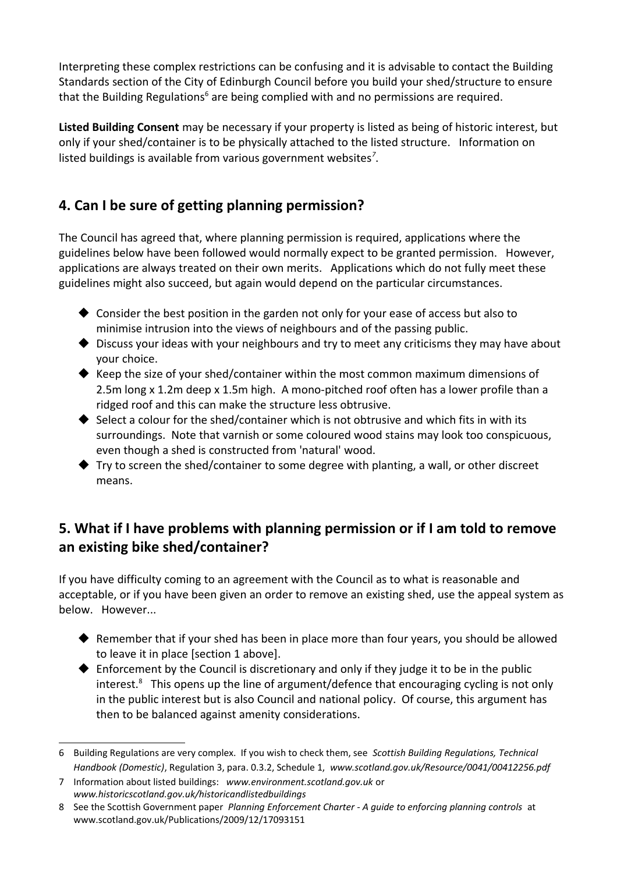Interpreting these complex restrictions can be confusing and it is advisable to contact the Building Standards section of the City of Edinburgh Council before you build your shed/structure to ensure that the Building Regulations<sup>[6](#page-2-0)</sup> are being complied with and no permissions are required.

**Listed Building Consent** may be necessary if your property is listed as being of historic interest, but only if your shed/container is to be physically attached to the listed structure. Information on listed buildings is available from various government websites*[7](#page-2-1)* .

# **4. Can I be sure of getting planning permission?**

The Council has agreed that, where planning permission is required, applications where the guidelines below have been followed would normally expect to be granted permission. However, applications are always treated on their own merits. Applications which do not fully meet these guidelines might also succeed, but again would depend on the particular circumstances.

- $\blacklozenge$  Consider the best position in the garden not only for your ease of access but also to minimise intrusion into the views of neighbours and of the passing public.
- ◆ Discuss your ideas with your neighbours and try to meet any criticisms they may have about your choice.
- $\blacklozenge$  Keep the size of your shed/container within the most common maximum dimensions of 2.5m long x 1.2m deep x 1.5m high. A mono-pitched roof often has a lower profile than a ridged roof and this can make the structure less obtrusive.
- $\blacklozenge$  Select a colour for the shed/container which is not obtrusive and which fits in with its surroundings. Note that varnish or some coloured wood stains may look too conspicuous, even though a shed is constructed from 'natural' wood.
- Try to screen the shed/container to some degree with planting, a wall, or other discreet means.

## **5. What if I have problems with planning permission or if I am told to remove an existing bike shed/container?**

If you have difficulty coming to an agreement with the Council as to what is reasonable and acceptable, or if you have been given an order to remove an existing shed, use the appeal system as below. However...

- $\blacklozenge$  Remember that if your shed has been in place more than four years, you should be allowed to leave it in place [section 1 above].
- Enforcement by the Council is discretionary and only if they judge it to be in the public interest.<sup>[8](#page-2-2)</sup> This opens up the line of argument/defence that encouraging cycling is not only in the public interest but is also Council and national policy. Of course, this argument has then to be balanced against amenity considerations.

<span id="page-2-0"></span><sup>6</sup> Building Regulations are very complex. If you wish to check them, see *Scottish Building Regulations, Technical Handbook (Domestic)*, Regulation 3, para. 0.3.2, Schedule 1, *www.scotland.gov.uk/Resource/0041/00412256.pdf*

<span id="page-2-1"></span><sup>7</sup> Information about listed buildings: *www.environment.scotland.gov.uk* or *www.historicscotland.gov.uk/historicandlistedbuildings*

<span id="page-2-2"></span><sup>8</sup> See the Scottish Government paper *Planning Enforcement Charter - A guide to enforcing planning controls* at www.scotland.gov.uk/Publications/2009/12/17093151